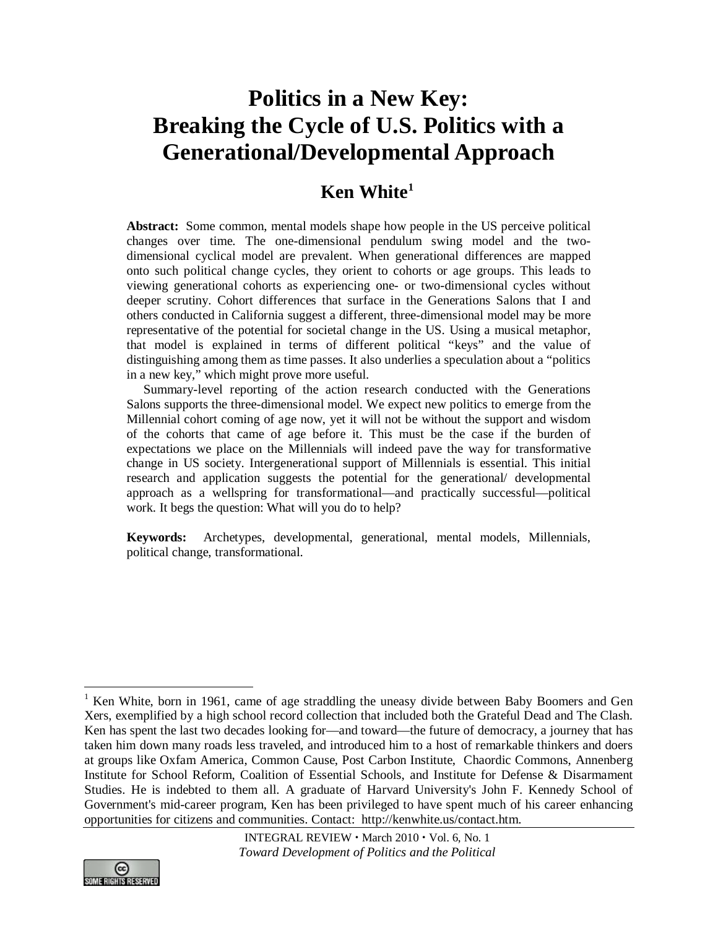# **Politics in a New Key: Breaking the Cycle of U.S. Politics with a Generational/Developmental Approach**

# **Ken White[1](#page-0-0)**

**Abstract:** Some common, mental models shape how people in the US perceive political changes over time. The one-dimensional pendulum swing model and the twodimensional cyclical model are prevalent. When generational differences are mapped onto such political change cycles, they orient to cohorts or age groups. This leads to viewing generational cohorts as experiencing one- or two-dimensional cycles without deeper scrutiny. Cohort differences that surface in the Generations Salons that I and others conducted in California suggest a different, three-dimensional model may be more representative of the potential for societal change in the US. Using a musical metaphor, that model is explained in terms of different political "keys" and the value of distinguishing among them as time passes. It also underlies a speculation about a "politics in a new key," which might prove more useful.

Summary-level reporting of the action research conducted with the Generations Salons supports the three-dimensional model. We expect new politics to emerge from the Millennial cohort coming of age now, yet it will not be without the support and wisdom of the cohorts that came of age before it. This must be the case if the burden of expectations we place on the Millennials will indeed pave the way for transformative change in US society. Intergenerational support of Millennials is essential. This initial research and application suggests the potential for the generational/ developmental approach as a wellspring for transformational—and practically successful—political work. It begs the question: What will you do to help?

**Keywords:** Archetypes, developmental, generational, mental models, Millennials, political change, transformational.

<span id="page-0-0"></span><sup>&</sup>lt;sup>1</sup> Ken White, born in 1961, came of age straddling the uneasy divide between Baby Boomers and Gen Xers, exemplified by a high school record collection that included both the Grateful Dead and The Clash. Ken has spent the last two decades looking for—and toward—the future of democracy, a journey that has taken him down many roads less traveled, and introduced him to a host of remarkable thinkers and doers at groups like [Oxfam America,](http://www.oxfamamerica.org/) Common Cause, Post Carbon Institute, Chaordic Commons, [Annenberg](http://www.annenberginstitute.org/)  [Institute for School Reform,](http://www.annenberginstitute.org/) [Coalition of Essential Schools,](http://www.essentialschools.org/) and [Institute for Defense & Disarmament](http://www.idds.org/)  [Studies.](http://www.idds.org/) He is indebted to them all. A graduate of Harvard University's [John F. Kennedy School of](http://www.ksg.harvard.edu/)  [Government's](http://www.ksg.harvard.edu/) mid-career program, Ken has been privileged to have spent much of his career enhancing opportunities for citizens and communities. Contact: [http://kenwhite.us/contact.htm.](http://kenwhite.us/contact.htm)

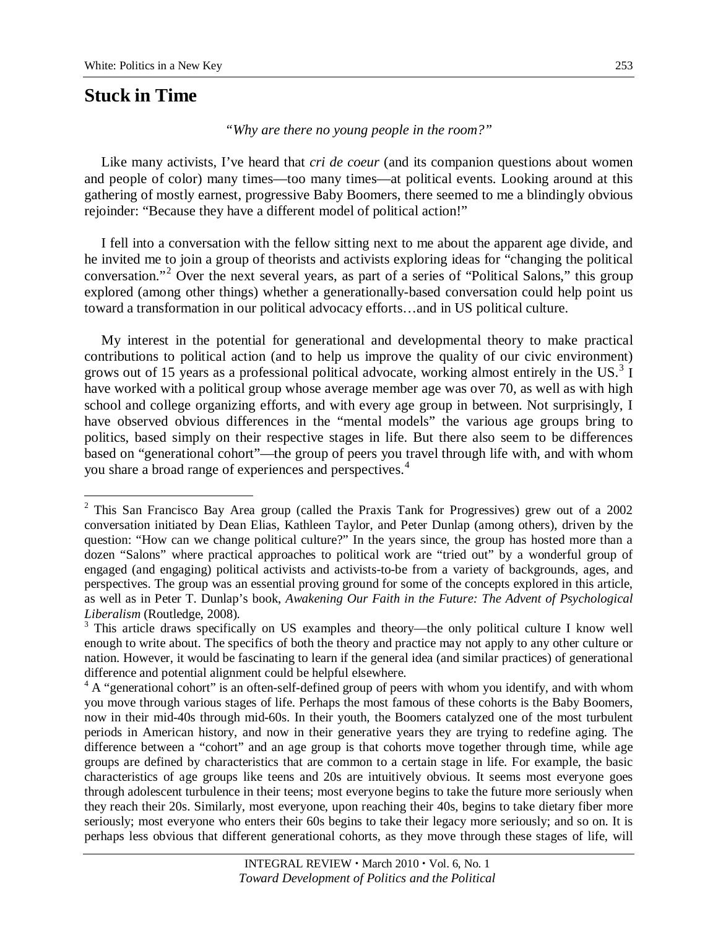# **Stuck in Time**

*"Why are there no young people in the room?"*

Like many activists, I've heard that *cri de coeur* (and its companion questions about women and people of color) many times—too many times—at political events. Looking around at this gathering of mostly earnest, progressive Baby Boomers, there seemed to me a blindingly obvious rejoinder: "Because they have a different model of political action!"

I fell into a conversation with the fellow sitting next to me about the apparent age divide, and he invited me to join a group of theorists and activists exploring ideas for "changing the political conversation."<sup>[2](#page-1-0)</sup> Over the next several years, as part of a series of "Political Salons," this group explored (among other things) whether a generationally-based conversation could help point us toward a transformation in our political advocacy efforts…and in US political culture.

My interest in the potential for generational and developmental theory to make practical contributions to political action (and to help us improve the quality of our civic environment) grows out of 15 years as a professional political advocate, working almost entirely in the US. $3$  I have worked with a political group whose average member age was over 70, as well as with high school and college organizing efforts, and with every age group in between. Not surprisingly, I have observed obvious differences in the "mental models" the various age groups bring to politics, based simply on their respective stages in life. But there also seem to be differences based on "generational cohort"—the group of peers you travel through life with, and with whom you share a broad range of experiences and perspectives.[4](#page-1-2)

<span id="page-1-0"></span> <sup>2</sup> This San Francisco Bay Area group (called the Praxis Tank for Progressives) grew out of a 2002 conversation initiated by Dean Elias, Kathleen Taylor, and Peter Dunlap (among others), driven by the question: "How can we change political culture?" In the years since, the group has hosted more than a dozen "Salons" where practical approaches to political work are "tried out" by a wonderful group of engaged (and engaging) political activists and activists-to-be from a variety of backgrounds, ages, and perspectives. The group was an essential proving ground for some of the concepts explored in this article, as well as in Peter T. Dunlap's book, *Awakening Our Faith in the Future: The Advent of Psychological* 

<span id="page-1-1"></span>*Liberalism* (Routledge, 2008).<br><sup>3</sup> This article draws specifically on US examples and theory—the only political culture I know well enough to write about. The specifics of both the theory and practice may not apply to any other culture or nation. However, it would be fascinating to learn if the general idea (and similar practices) of generational difference and potential alignment could be helpful elsewhere.

<span id="page-1-2"></span><sup>&</sup>lt;sup>4</sup> A "generational cohort" is an often-self-defined group of peers with whom you identify, and with whom you move through various stages of life. Perhaps the most famous of these cohorts is the Baby Boomers, now in their mid-40s through mid-60s. In their youth, the Boomers catalyzed one of the most turbulent periods in American history, and now in their generative years they are trying to redefine aging. The difference between a "cohort" and an age group is that cohorts move together through time, while age groups are defined by characteristics that are common to a certain stage in life. For example, the basic characteristics of age groups like teens and 20s are intuitively obvious. It seems most everyone goes through adolescent turbulence in their teens; most everyone begins to take the future more seriously when they reach their 20s. Similarly, most everyone, upon reaching their 40s, begins to take dietary fiber more seriously; most everyone who enters their 60s begins to take their legacy more seriously; and so on. It is perhaps less obvious that different generational cohorts, as they move through these stages of life, will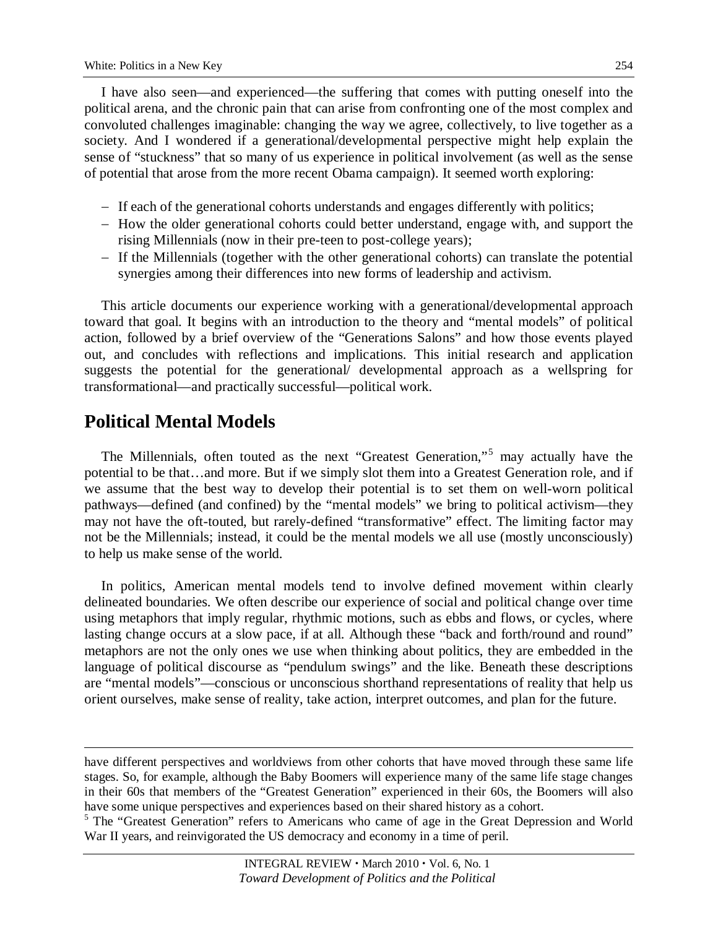I have also seen—and experienced—the suffering that comes with putting oneself into the political arena, and the chronic pain that can arise from confronting one of the most complex and convoluted challenges imaginable: changing the way we agree, collectively, to live together as a society. And I wondered if a generational/developmental perspective might help explain the sense of "stuckness" that so many of us experience in political involvement (as well as the sense of potential that arose from the more recent Obama campaign). It seemed worth exploring:

- − If each of the generational cohorts understands and engages differently with politics;
- − How the older generational cohorts could better understand, engage with, and support the rising Millennials (now in their pre-teen to post-college years);
- − If the Millennials (together with the other generational cohorts) can translate the potential synergies among their differences into new forms of leadership and activism.

This article documents our experience working with a generational/developmental approach toward that goal. It begins with an introduction to the theory and "mental models" of political action, followed by a brief overview of the "Generations Salons" and how those events played out, and concludes with reflections and implications. This initial research and application suggests the potential for the generational/ developmental approach as a wellspring for transformational—and practically successful—political work.

# **Political Mental Models**

 $\overline{a}$ 

The Millennials, often touted as the next "Greatest Generation,"[5](#page-2-0) may actually have the potential to be that…and more. But if we simply slot them into a Greatest Generation role, and if we assume that the best way to develop their potential is to set them on well-worn political pathways—defined (and confined) by the "mental models" we bring to political activism—they may not have the oft-touted, but rarely-defined "transformative" effect. The limiting factor may not be the Millennials; instead, it could be the mental models we all use (mostly unconsciously) to help us make sense of the world.

In politics, American mental models tend to involve defined movement within clearly delineated boundaries. We often describe our experience of social and political change over time using metaphors that imply regular, rhythmic motions, such as ebbs and flows, or cycles, where lasting change occurs at a slow pace, if at all. Although these "back and forth/round and round" metaphors are not the only ones we use when thinking about politics, they are embedded in the language of political discourse as "pendulum swings" and the like. Beneath these descriptions are "mental models"—conscious or unconscious shorthand representations of reality that help us orient ourselves, make sense of reality, take action, interpret outcomes, and plan for the future.

have different perspectives and worldviews from other cohorts that have moved through these same life stages. So, for example, although the Baby Boomers will experience many of the same life stage changes in their 60s that members of the "Greatest Generation" experienced in their 60s, the Boomers will also have some unique perspectives and experiences based on their shared history as a cohort.

<span id="page-2-0"></span><sup>&</sup>lt;sup>5</sup> The "Greatest Generation" refers to Americans who came of age in the Great Depression and World War II years, and reinvigorated the US democracy and economy in a time of peril.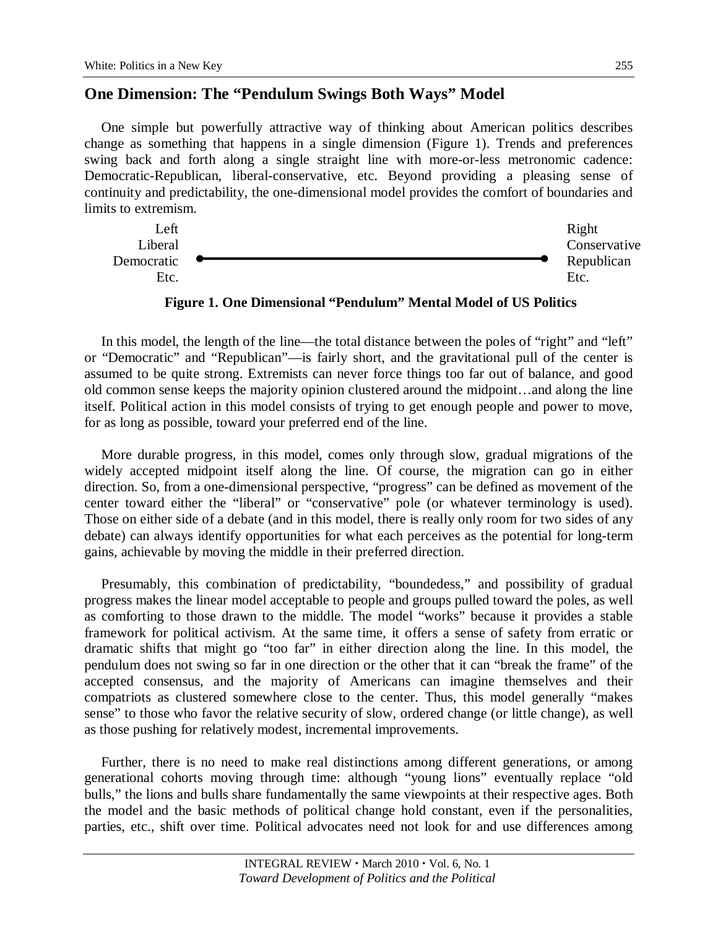## **One Dimension: The "Pendulum Swings Both Ways" Model**

One simple but powerfully attractive way of thinking about American politics describes change as something that happens in a single dimension (Figure 1). Trends and preferences swing back and forth along a single straight line with more-or-less metronomic cadence: Democratic-Republican, liberal-conservative, etc. Beyond providing a pleasing sense of continuity and predictability, the one-dimensional model provides the comfort of boundaries and limits to extremism.



**Figure 1. One Dimensional "Pendulum" Mental Model of US Politics**

In this model, the length of the line—the total distance between the poles of "right" and "left" or "Democratic" and "Republican"—is fairly short, and the gravitational pull of the center is assumed to be quite strong. Extremists can never force things too far out of balance, and good old common sense keeps the majority opinion clustered around the midpoint…and along the line itself. Political action in this model consists of trying to get enough people and power to move, for as long as possible, toward your preferred end of the line.

More durable progress, in this model, comes only through slow, gradual migrations of the widely accepted midpoint itself along the line. Of course, the migration can go in either direction. So, from a one-dimensional perspective, "progress" can be defined as movement of the center toward either the "liberal" or "conservative" pole (or whatever terminology is used). Those on either side of a debate (and in this model, there is really only room for two sides of any debate) can always identify opportunities for what each perceives as the potential for long-term gains, achievable by moving the middle in their preferred direction.

Presumably, this combination of predictability, "boundedess," and possibility of gradual progress makes the linear model acceptable to people and groups pulled toward the poles, as well as comforting to those drawn to the middle. The model "works" because it provides a stable framework for political activism. At the same time, it offers a sense of safety from erratic or dramatic shifts that might go "too far" in either direction along the line. In this model, the pendulum does not swing so far in one direction or the other that it can "break the frame" of the accepted consensus, and the majority of Americans can imagine themselves and their compatriots as clustered somewhere close to the center. Thus, this model generally "makes sense" to those who favor the relative security of slow, ordered change (or little change), as well as those pushing for relatively modest, incremental improvements.

Further, there is no need to make real distinctions among different generations, or among generational cohorts moving through time: although "young lions" eventually replace "old bulls," the lions and bulls share fundamentally the same viewpoints at their respective ages. Both the model and the basic methods of political change hold constant, even if the personalities, parties, etc., shift over time. Political advocates need not look for and use differences among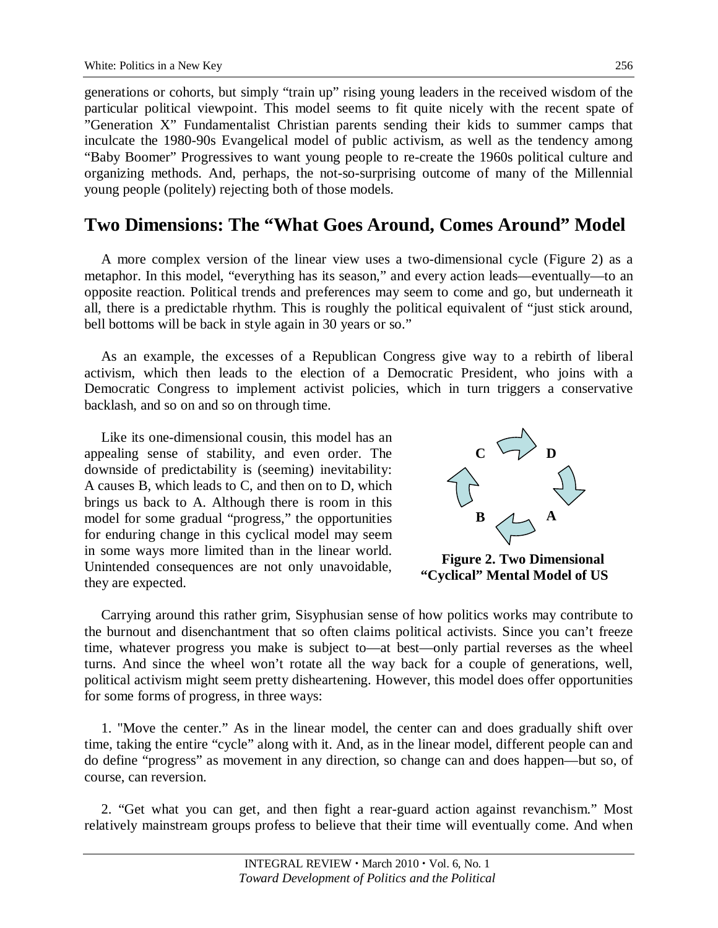generations or cohorts, but simply "train up" rising young leaders in the received wisdom of the particular political viewpoint. This model seems to fit quite nicely with the recent spate of "Generation X" Fundamentalist Christian parents sending their kids to summer camps that inculcate the 1980-90s Evangelical model of public activism, as well as the tendency among "Baby Boomer" Progressives to want young people to re-create the 1960s political culture and organizing methods. And, perhaps, the not-so-surprising outcome of many of the Millennial young people (politely) rejecting both of those models.

## **Two Dimensions: The "What Goes Around, Comes Around" Model**

A more complex version of the linear view uses a two-dimensional cycle (Figure 2) as a metaphor. In this model, "everything has its season," and every action leads—eventually—to an opposite reaction. Political trends and preferences may seem to come and go, but underneath it all, there is a predictable rhythm. This is roughly the political equivalent of "just stick around, bell bottoms will be back in style again in 30 years or so."

As an example, the excesses of a Republican Congress give way to a rebirth of liberal activism, which then leads to the election of a Democratic President, who joins with a Democratic Congress to implement activist policies, which in turn triggers a conservative backlash, and so on and so on through time.

Like its one-dimensional cousin, this model has an appealing sense of stability, and even order. The downside of predictability is (seeming) inevitability: A causes B, which leads to C, and then on to D, which brings us back to A. Although there is room in this model for some gradual "progress," the opportunities for enduring change in this cyclical model may seem in some ways more limited than in the linear world. Unintended consequences are not only unavoidable, they are expected.



**Figure 2. Two Dimensional "Cyclical" Mental Model of US** 

Carrying around this rather grim, Sisyphusian sense of how politics works may contribute to the burnout and disenchantment that so often claims political activists. Since you can't freeze time, whatever progress you make is subject to—at best—only partial reverses as the wheel turns. And since the wheel won't rotate all the way back for a couple of generations, well, political activism might seem pretty disheartening. However, this model does offer opportunities for some forms of progress, in three ways:

1. "Move the center." As in the linear model, the center can and does gradually shift over time, taking the entire "cycle" along with it. And, as in the linear model, different people can and do define "progress" as movement in any direction, so change can and does happen—but so, of course, can reversion.

2. "Get what you can get, and then fight a rear-guard action against revanchism." Most relatively mainstream groups profess to believe that their time will eventually come. And when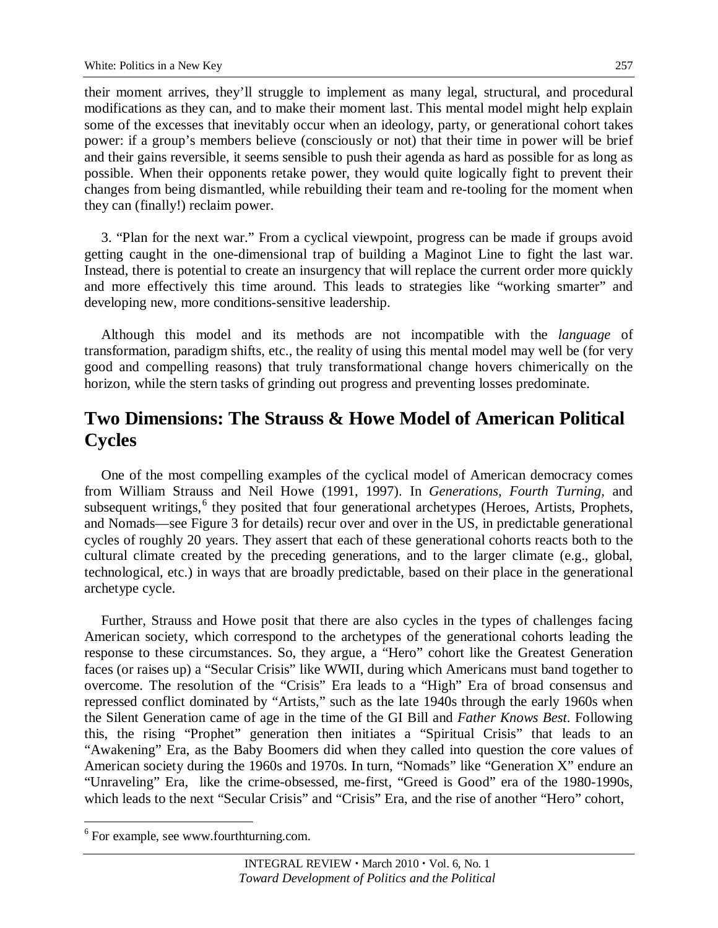their moment arrives, they'll struggle to implement as many legal, structural, and procedural modifications as they can, and to make their moment last. This mental model might help explain some of the excesses that inevitably occur when an ideology, party, or generational cohort takes power: if a group's members believe (consciously or not) that their time in power will be brief and their gains reversible, it seems sensible to push their agenda as hard as possible for as long as possible. When their opponents retake power, they would quite logically fight to prevent their changes from being dismantled, while rebuilding their team and re-tooling for the moment when they can (finally!) reclaim power.

3. "Plan for the next war." From a cyclical viewpoint, progress can be made if groups avoid getting caught in the one-dimensional trap of building a Maginot Line to fight the last war. Instead, there is potential to create an insurgency that will replace the current order more quickly and more effectively this time around. This leads to strategies like "working smarter" and developing new, more conditions-sensitive leadership.

Although this model and its methods are not incompatible with the *language* of transformation, paradigm shifts, etc., the reality of using this mental model may well be (for very good and compelling reasons) that truly transformational change hovers chimerically on the horizon, while the stern tasks of grinding out progress and preventing losses predominate.

## **Two Dimensions: The Strauss & Howe Model of American Political Cycles**

One of the most compelling examples of the cyclical model of American democracy comes from William Strauss and Neil Howe (1991, 1997). In *Generations, Fourth Turning,* and subsequent writings,<sup>[6](#page-5-0)</sup> they posited that four generational archetypes (Heroes, Artists, Prophets, and Nomads—see Figure 3 for details) recur over and over in the US, in predictable generational cycles of roughly 20 years. They assert that each of these generational cohorts reacts both to the cultural climate created by the preceding generations, and to the larger climate (e.g., global, technological, etc.) in ways that are broadly predictable, based on their place in the generational archetype cycle.

Further, Strauss and Howe posit that there are also cycles in the types of challenges facing American society, which correspond to the archetypes of the generational cohorts leading the response to these circumstances. So, they argue, a "Hero" cohort like the Greatest Generation faces (or raises up) a "Secular Crisis" like WWII, during which Americans must band together to overcome. The resolution of the "Crisis" Era leads to a "High" Era of broad consensus and repressed conflict dominated by "Artists," such as the late 1940s through the early 1960s when the Silent Generation came of age in the time of the GI Bill and *Father Knows Best*. Following this, the rising "Prophet" generation then initiates a "Spiritual Crisis" that leads to an "Awakening" Era, as the Baby Boomers did when they called into question the core values of American society during the 1960s and 1970s. In turn, "Nomads" like "Generation X" endure an "Unraveling" Era, like the crime-obsessed, me-first, "Greed is Good" era of the 1980-1990s, which leads to the next "Secular Crisis" and "Crisis" Era, and the rise of another "Hero" cohort,

<span id="page-5-0"></span><sup>&</sup>lt;sup>6</sup> For example, see [www.fourthturning.com.](http://www.fourthturning.com/)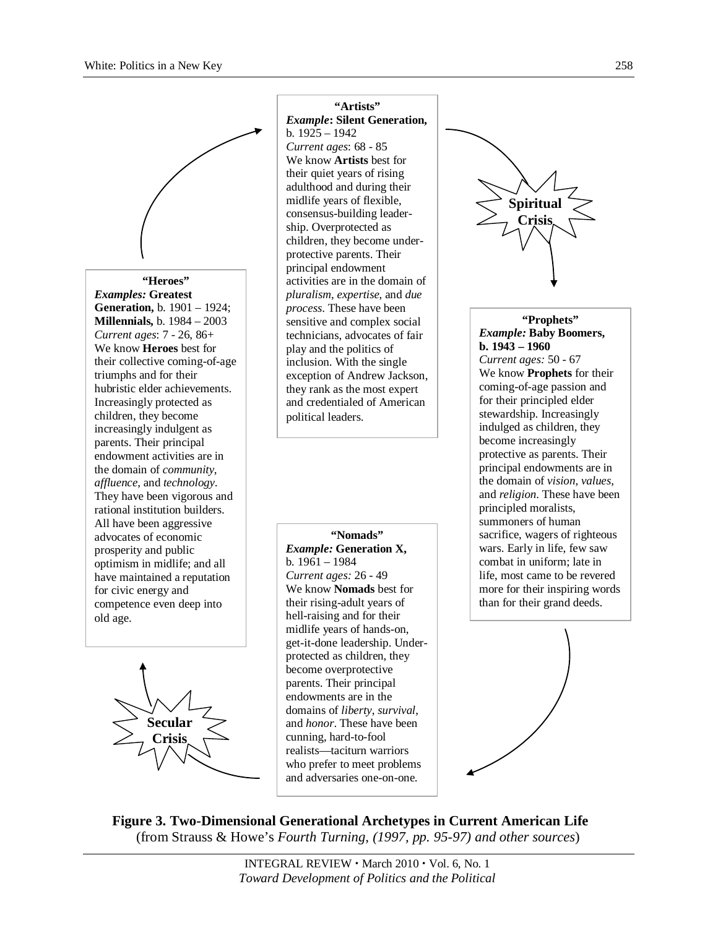

#### **"Heroes"**

*Examples:* **Greatest Generation,** b. 1901 – 1924; **Millennials,** b. 1984 – 2003 *Current ages*: 7 - 26, 86+ We know **Heroes** best for their collective coming-of-age triumphs and for their hubristic elder achievements. Increasingly protected as children, they become increasingly indulgent as parents. Their principal endowment activities are in the domain of *community*, *affluence*, and *technology*. They have been vigorous and rational institution builders. All have been aggressive advocates of economic prosperity and public optimism in midlife; and all have maintained a reputation for civic energy and competence even deep into old age.



**"Artists"** *Example***: Silent Generation,**  b. 1925 – 1942 *Current ages*: 68 - 85 We know **Artists** best for their quiet years of rising adulthood and during their midlife years of flexible, consensus-building leadership. Overprotected as children, they become underprotective parents. Their principal endowment activities are in the domain of *pluralism*, *expertise*, and *due process*. These have been sensitive and complex social technicians, advocates of fair play and the politics of inclusion. With the single exception of Andrew Jackson, they rank as the most expert and credentialed of American political leaders.

**"Nomads"** *Example:* **Generation X,**  b. 1961 – 1984 *Current ages:* 26 - 49 We know **Nomads** best for their rising-adult years of hell-raising and for their midlife years of hands-on, get-it-done leadership. Underprotected as children, they become overprotective parents. Their principal endowments are in the domains of *liberty*, *survival*, and *honor*. These have been cunning, hard-to-fool realists—taciturn warriors who prefer to meet problems and adversaries one-on-one.



#### **"Prophets"** *Example:* **Baby Boomers, b. 1943 – 1960**

*Current ages:* 50 - 67 We know **Prophets** for their coming-of-age passion and for their principled elder stewardship. Increasingly indulged as children, they become increasingly protective as parents. Their principal endowments are in the domain of *vision, values*, and *religion*. These have been principled moralists, summoners of human sacrifice, wagers of righteous wars. Early in life, few saw combat in uniform; late in life, most came to be revered more for their inspiring words than for their grand deeds.



**Figure 3. Two-Dimensional Generational Archetypes in Current American Life** (from Strauss & Howe's *Fourth Turning, (1997, pp. 95-97) and other sources*)

> INTEGRAL REVIEW · March 2010 · Vol. 6, No. 1 *Toward Development of Politics and the Political*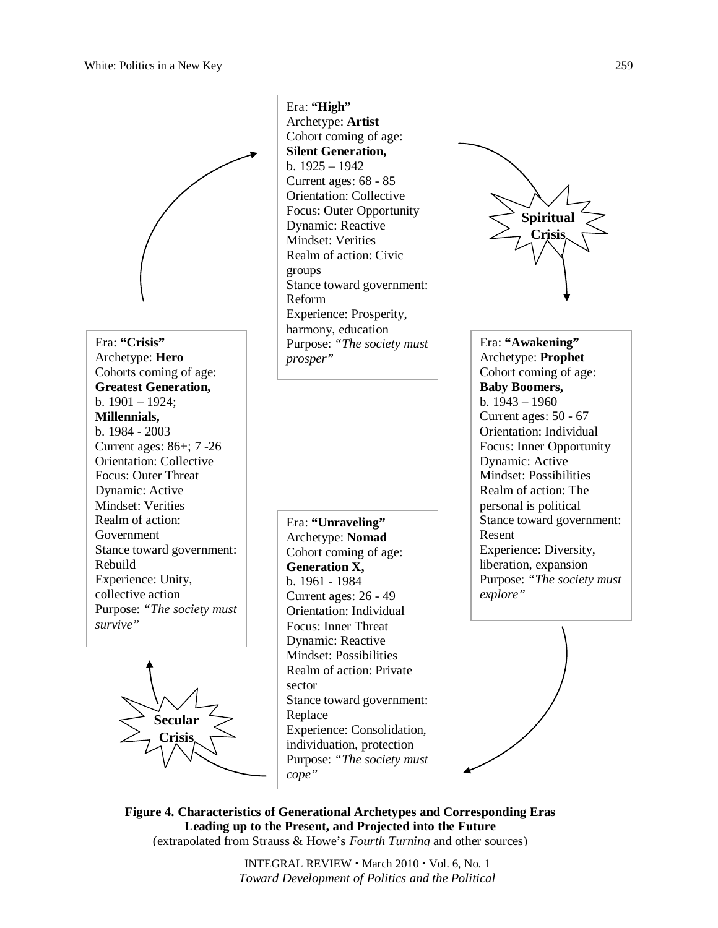Era: **"Crisis"** Archetype: **Hero** Cohorts coming of age: **Greatest Generation,**  b. 1901 – 1924; **Millennials,**  b. 1984 - 2003 Current ages: 86+; 7 -26 Orientation: Collective Focus: Outer Threat Dynamic: Active Mindset: Verities Realm of action: Government Stance toward government: Rebuild Experience: Unity, collective action Purpose: *"The society must survive"*



Era: **"High"** Archetype: **Artist** Cohort coming of age: **Silent Generation,**  b. 1925 – 1942 Current ages: 68 - 85 Orientation: Collective Focus: Outer Opportunity Dynamic: Reactive Mindset: Verities Realm of action: Civic groups Stance toward government: Reform Experience: Prosperity, harmony, education Purpose: *"The society must prosper"*

Era: **"Unraveling"** Archetype: **Nomad** Cohort coming of age: **Generation X,**  b. 1961 - 1984 Current ages: 26 - 49 Orientation: Individual Focus: Inner Threat Dynamic: Reactive Mindset: Possibilities Realm of action: Private sector Stance toward government: Replace Experience: Consolidation, individuation, protection Purpose: *"The society must cope"*



Era: **"Awakening"** Archetype: **Prophet** Cohort coming of age: **Baby Boomers,**  b. 1943 – 1960 Current ages: 50 - 67 Orientation: Individual Focus: Inner Opportunity Dynamic: Active Mindset: Possibilities Realm of action: The personal is political Stance toward government: Resent Experience: Diversity, liberation, expansion Purpose: *"The society must explore"*



**Figure 4. Characteristics of Generational Archetypes and Corresponding Eras Leading up to the Present, and Projected into the Future** (extrapolated from Strauss & Howe's *Fourth Turning* and other sources)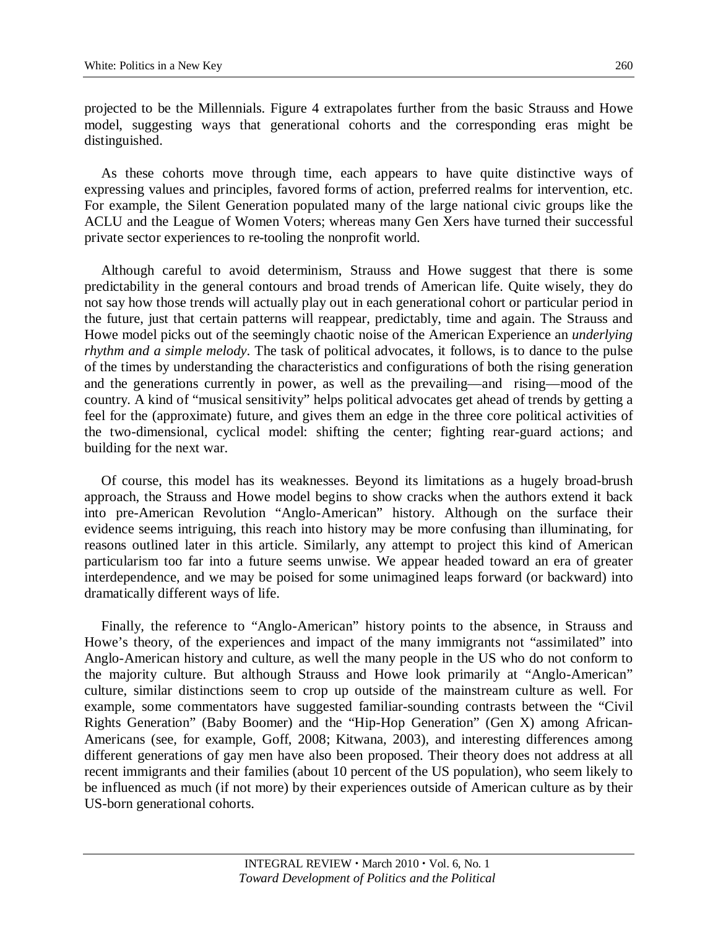projected to be the Millennials. Figure 4 extrapolates further from the basic Strauss and Howe model, suggesting ways that generational cohorts and the corresponding eras might be distinguished.

As these cohorts move through time, each appears to have quite distinctive ways of expressing values and principles, favored forms of action, preferred realms for intervention, etc. For example, the Silent Generation populated many of the large national civic groups like the ACLU and the League of Women Voters; whereas many Gen Xers have turned their successful private sector experiences to re-tooling the nonprofit world.

Although careful to avoid determinism, Strauss and Howe suggest that there is some predictability in the general contours and broad trends of American life. Quite wisely, they do not say how those trends will actually play out in each generational cohort or particular period in the future, just that certain patterns will reappear, predictably, time and again. The Strauss and Howe model picks out of the seemingly chaotic noise of the American Experience an *underlying rhythm and a simple melody*. The task of political advocates, it follows, is to dance to the pulse of the times by understanding the characteristics and configurations of both the rising generation and the generations currently in power, as well as the prevailing—and rising—mood of the country. A kind of "musical sensitivity" helps political advocates get ahead of trends by getting a feel for the (approximate) future, and gives them an edge in the three core political activities of the two-dimensional, cyclical model: shifting the center; fighting rear-guard actions; and building for the next war.

Of course, this model has its weaknesses. Beyond its limitations as a hugely broad-brush approach, the Strauss and Howe model begins to show cracks when the authors extend it back into pre-American Revolution "Anglo-American" history. Although on the surface their evidence seems intriguing, this reach into history may be more confusing than illuminating, for reasons outlined later in this article. Similarly, any attempt to project this kind of American particularism too far into a future seems unwise. We appear headed toward an era of greater interdependence, and we may be poised for some unimagined leaps forward (or backward) into dramatically different ways of life.

Finally, the reference to "Anglo-American" history points to the absence, in Strauss and Howe's theory, of the experiences and impact of the many immigrants not "assimilated" into Anglo-American history and culture, as well the many people in the US who do not conform to the majority culture. But although Strauss and Howe look primarily at "Anglo-American" culture, similar distinctions seem to crop up outside of the mainstream culture as well. For example, some commentators have suggested familiar-sounding contrasts between the "Civil Rights Generation" (Baby Boomer) and the "Hip-Hop Generation" (Gen X) among African-Americans (see, for example, Goff, 2008; Kitwana, 2003), and interesting differences among different generations of gay men have also been proposed. Their theory does not address at all recent immigrants and their families (about 10 percent of the US population), who seem likely to be influenced as much (if not more) by their experiences outside of American culture as by their US-born generational cohorts.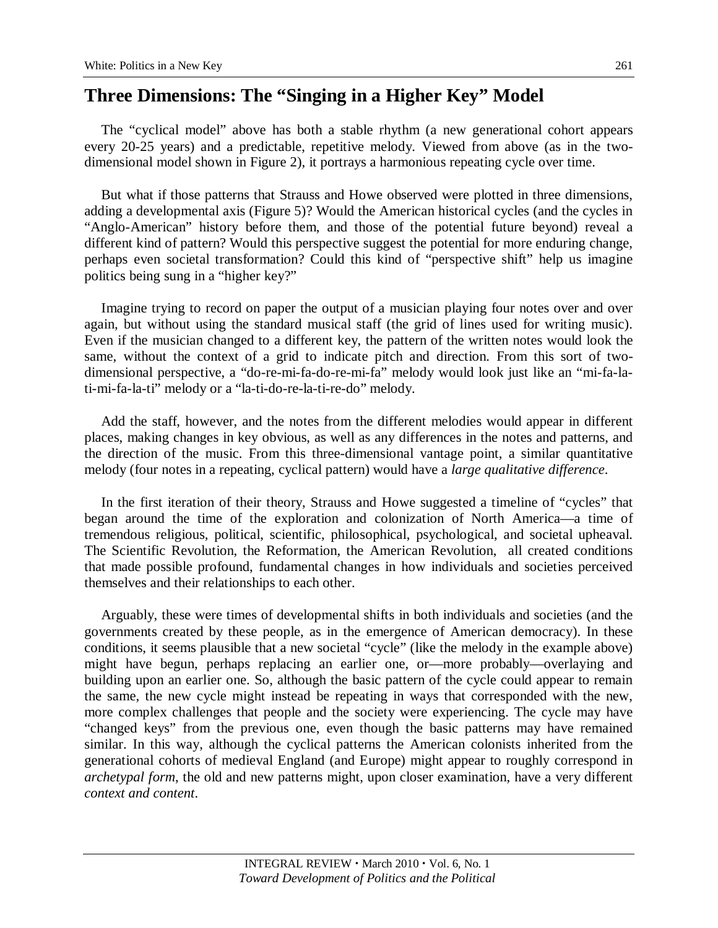## **Three Dimensions: The "Singing in a Higher Key" Model**

The "cyclical model" above has both a stable rhythm (a new generational cohort appears every 20-25 years) and a predictable, repetitive melody. Viewed from above (as in the twodimensional model shown in Figure 2), it portrays a harmonious repeating cycle over time.

But what if those patterns that Strauss and Howe observed were plotted in three dimensions, adding a developmental axis (Figure 5)? Would the American historical cycles (and the cycles in "Anglo-American" history before them, and those of the potential future beyond) reveal a different kind of pattern? Would this perspective suggest the potential for more enduring change, perhaps even societal transformation? Could this kind of "perspective shift" help us imagine politics being sung in a "higher key?"

Imagine trying to record on paper the output of a musician playing four notes over and over again, but without using the standard musical staff (the grid of lines used for writing music). Even if the musician changed to a different key, the pattern of the written notes would look the same, without the context of a grid to indicate pitch and direction. From this sort of twodimensional perspective, a "do-re-mi-fa-do-re-mi-fa" melody would look just like an "mi-fa-lati-mi-fa-la-ti" melody or a "la-ti-do-re-la-ti-re-do" melody.

Add the staff, however, and the notes from the different melodies would appear in different places, making changes in key obvious, as well as any differences in the notes and patterns, and the direction of the music. From this three-dimensional vantage point, a similar quantitative melody (four notes in a repeating, cyclical pattern) would have a *large qualitative difference*.

In the first iteration of their theory, Strauss and Howe suggested a timeline of "cycles" that began around the time of the exploration and colonization of North America—a time of tremendous religious, political, scientific, philosophical, psychological, and societal upheaval. The Scientific Revolution, the Reformation, the American Revolution, all created conditions that made possible profound, fundamental changes in how individuals and societies perceived themselves and their relationships to each other.

Arguably, these were times of developmental shifts in both individuals and societies (and the governments created by these people, as in the emergence of American democracy). In these conditions, it seems plausible that a new societal "cycle" (like the melody in the example above) might have begun, perhaps replacing an earlier one, or—more probably—overlaying and building upon an earlier one. So, although the basic pattern of the cycle could appear to remain the same, the new cycle might instead be repeating in ways that corresponded with the new, more complex challenges that people and the society were experiencing. The cycle may have "changed keys" from the previous one, even though the basic patterns may have remained similar. In this way, although the cyclical patterns the American colonists inherited from the generational cohorts of medieval England (and Europe) might appear to roughly correspond in *archetypal form*, the old and new patterns might, upon closer examination, have a very different *context and content*.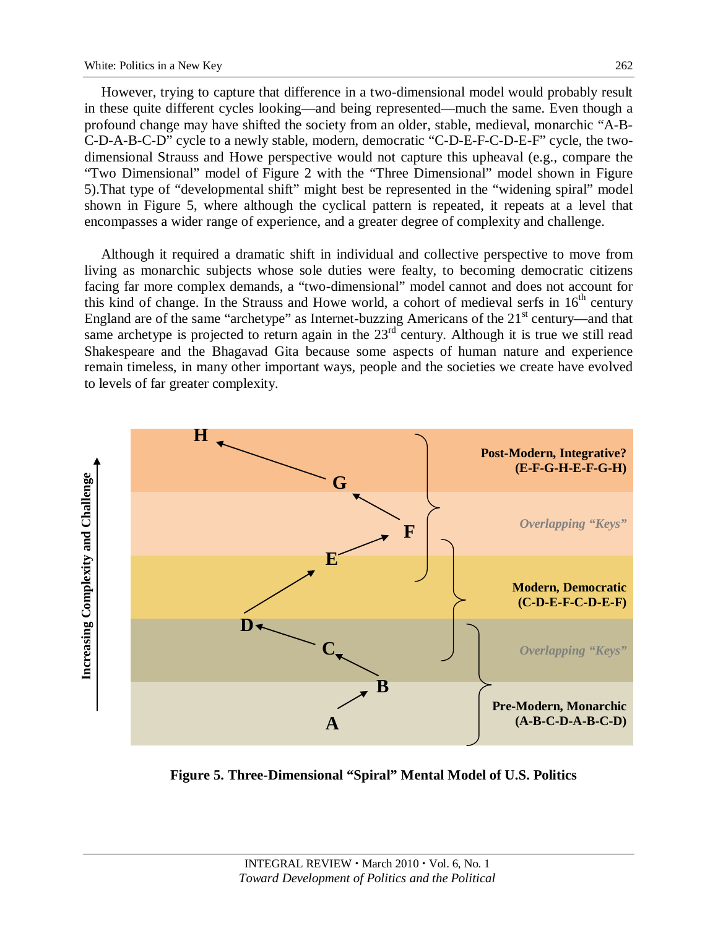However, trying to capture that difference in a two-dimensional model would probably result in these quite different cycles looking—and being represented—much the same. Even though a profound change may have shifted the society from an older, stable, medieval, monarchic "A-B-C-D-A-B-C-D" cycle to a newly stable, modern, democratic "C-D-E-F-C-D-E-F" cycle, the twodimensional Strauss and Howe perspective would not capture this upheaval (e.g., compare the "Two Dimensional" model of Figure 2 with the "Three Dimensional" model shown in Figure 5).That type of "developmental shift" might best be represented in the "widening spiral" model shown in Figure 5, where although the cyclical pattern is repeated, it repeats at a level that encompasses a wider range of experience, and a greater degree of complexity and challenge.

Although it required a dramatic shift in individual and collective perspective to move from living as monarchic subjects whose sole duties were fealty, to becoming democratic citizens facing far more complex demands, a "two-dimensional" model cannot and does not account for this kind of change. In the Strauss and Howe world, a cohort of medieval serfs in  $16<sup>th</sup>$  century England are of the same "archetype" as Internet-buzzing Americans of the  $21<sup>st</sup>$  century—and that same archetype is projected to return again in the  $23<sup>rd</sup>$  century. Although it is true we still read Shakespeare and the Bhagavad Gita because some aspects of human nature and experience remain timeless, in many other important ways, people and the societies we create have evolved to levels of far greater complexity.



**Figure 5. Three-Dimensional "Spiral" Mental Model of U.S. Politics**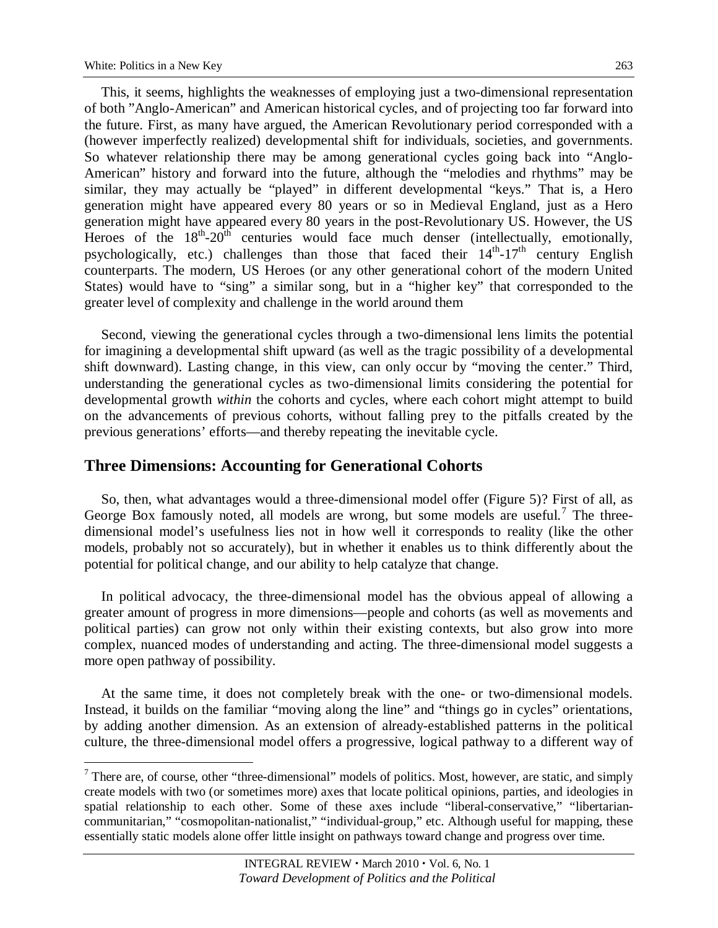This, it seems, highlights the weaknesses of employing just a two-dimensional representation of both "Anglo-American" and American historical cycles, and of projecting too far forward into the future. First, as many have argued, the American Revolutionary period corresponded with a (however imperfectly realized) developmental shift for individuals, societies, and governments. So whatever relationship there may be among generational cycles going back into "Anglo-American" history and forward into the future, although the "melodies and rhythms" may be similar, they may actually be "played" in different developmental "keys." That is, a Hero generation might have appeared every 80 years or so in Medieval England, just as a Hero generation might have appeared every 80 years in the post-Revolutionary US. However, the US Heroes of the  $18<sup>th</sup>-20<sup>th</sup>$  centuries would face much denser (intellectually, emotionally, psychologically, etc.) challenges than those that faced their  $14<sup>th</sup>$ -17<sup>th</sup> century English counterparts. The modern, US Heroes (or any other generational cohort of the modern United States) would have to "sing" a similar song, but in a "higher key" that corresponded to the greater level of complexity and challenge in the world around them

Second, viewing the generational cycles through a two-dimensional lens limits the potential for imagining a developmental shift upward (as well as the tragic possibility of a developmental shift downward). Lasting change, in this view, can only occur by "moving the center." Third, understanding the generational cycles as two-dimensional limits considering the potential for developmental growth *within* the cohorts and cycles, where each cohort might attempt to build on the advancements of previous cohorts, without falling prey to the pitfalls created by the previous generations' efforts—and thereby repeating the inevitable cycle.

### **Three Dimensions: Accounting for Generational Cohorts**

So, then, what advantages would a three-dimensional model offer (Figure 5)? First of all, as George Box famously noted, all models are wrong, but some models are useful.<sup>[7](#page-11-0)</sup> The threedimensional model's usefulness lies not in how well it corresponds to reality (like the other models, probably not so accurately), but in whether it enables us to think differently about the potential for political change, and our ability to help catalyze that change.

In political advocacy, the three-dimensional model has the obvious appeal of allowing a greater amount of progress in more dimensions—people and cohorts (as well as movements and political parties) can grow not only within their existing contexts, but also grow into more complex, nuanced modes of understanding and acting. The three-dimensional model suggests a more open pathway of possibility.

At the same time, it does not completely break with the one- or two-dimensional models. Instead, it builds on the familiar "moving along the line" and "things go in cycles" orientations, by adding another dimension. As an extension of already-established patterns in the political culture, the three-dimensional model offers a progressive, logical pathway to a different way of

<span id="page-11-0"></span><sup>&</sup>lt;sup>7</sup> There are, of course, other "three-dimensional" models of politics. Most, however, are static, and simply create models with two (or sometimes more) axes that locate political opinions, parties, and ideologies in spatial relationship to each other. Some of these axes include "liberal-conservative," "libertariancommunitarian," "cosmopolitan-nationalist," "individual-group," etc. Although useful for mapping, these essentially static models alone offer little insight on pathways toward change and progress over time.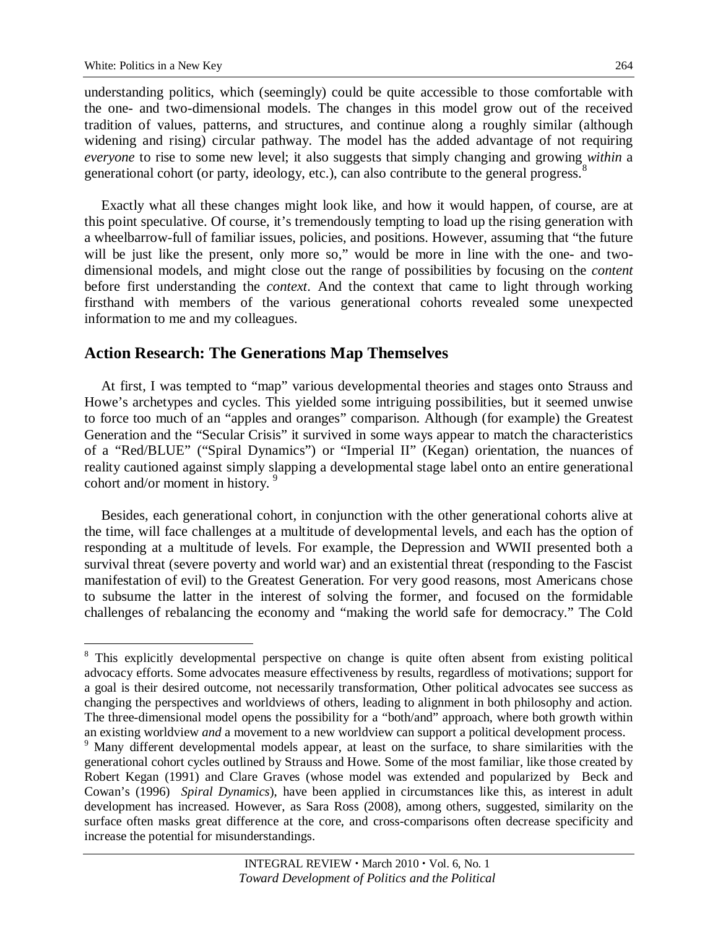understanding politics, which (seemingly) could be quite accessible to those comfortable with the one- and two-dimensional models. The changes in this model grow out of the received tradition of values, patterns, and structures, and continue along a roughly similar (although widening and rising) circular pathway. The model has the added advantage of not requiring *everyone* to rise to some new level; it also suggests that simply changing and growing *within* a generational cohort (or party, ideology, etc.), can also contribute to the general progress.<sup>[8](#page-12-0)</sup>

Exactly what all these changes might look like, and how it would happen, of course, are at this point speculative. Of course, it's tremendously tempting to load up the rising generation with a wheelbarrow-full of familiar issues, policies, and positions. However, assuming that "the future will be just like the present, only more so," would be more in line with the one- and twodimensional models, and might close out the range of possibilities by focusing on the *content* before first understanding the *context*. And the context that came to light through working firsthand with members of the various generational cohorts revealed some unexpected information to me and my colleagues.

### **Action Research: The Generations Map Themselves**

At first, I was tempted to "map" various developmental theories and stages onto Strauss and Howe's archetypes and cycles. This yielded some intriguing possibilities, but it seemed unwise to force too much of an "apples and oranges" comparison. Although (for example) the Greatest Generation and the "Secular Crisis" it survived in some ways appear to match the characteristics of a "Red/BLUE" ("Spiral Dynamics") or "Imperial II" (Kegan) orientation, the nuances of reality cautioned against simply slapping a developmental stage label onto an entire generational cohort and/or moment in history.<sup>[9](#page-12-1)</sup>

Besides, each generational cohort, in conjunction with the other generational cohorts alive at the time, will face challenges at a multitude of developmental levels, and each has the option of responding at a multitude of levels. For example, the Depression and WWII presented both a survival threat (severe poverty and world war) and an existential threat (responding to the Fascist manifestation of evil) to the Greatest Generation. For very good reasons, most Americans chose to subsume the latter in the interest of solving the former, and focused on the formidable challenges of rebalancing the economy and "making the world safe for democracy." The Cold

<span id="page-12-0"></span><sup>&</sup>lt;sup>8</sup> This explicitly developmental perspective on change is quite often absent from existing political advocacy efforts. Some advocates measure effectiveness by results, regardless of motivations; support for a goal is their desired outcome, not necessarily transformation, Other political advocates see success as changing the perspectives and worldviews of others, leading to alignment in both philosophy and action. The three-dimensional model opens the possibility for a "both/and" approach, where both growth within an existing worldview *and* a movement to a new worldview can support a political development process.

<span id="page-12-1"></span><sup>&</sup>lt;sup>9</sup> Many different developmental models appear, at least on the surface, to share similarities with the generational cohort cycles outlined by Strauss and Howe. Some of the most familiar, like those created by Robert Kegan (1991) and Clare Graves (whose model was extended and popularized by Beck and Cowan's (1996) *Spiral Dynamics*), have been applied in circumstances like this, as interest in adult development has increased. However, as Sara Ross (2008), among others, suggested, similarity on the surface often masks great difference at the core, and cross-comparisons often decrease specificity and increase the potential for misunderstandings.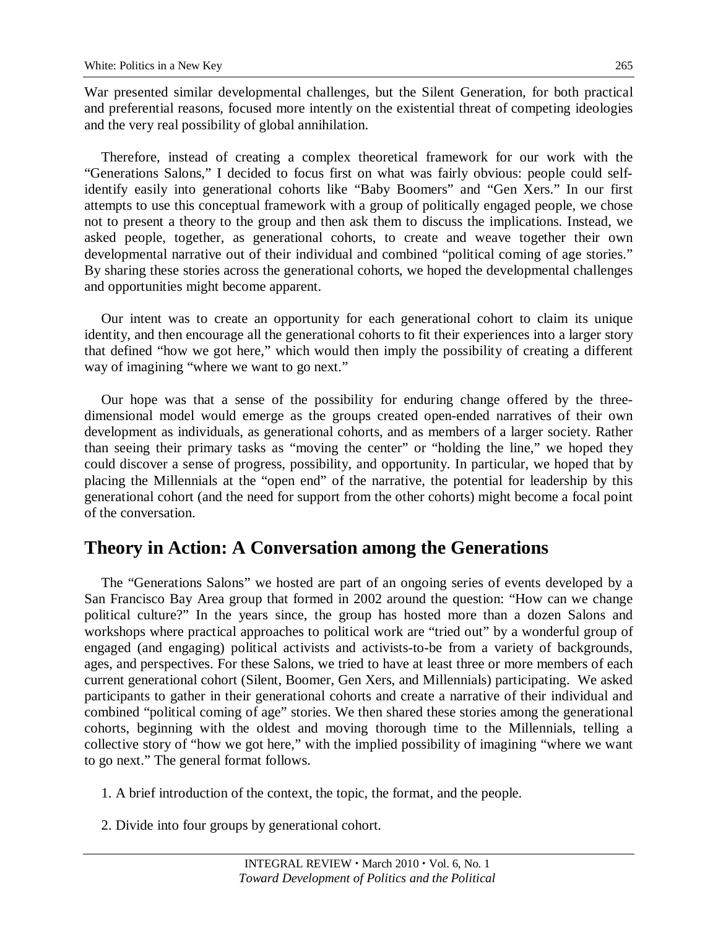War presented similar developmental challenges, but the Silent Generation, for both practical and preferential reasons, focused more intently on the existential threat of competing ideologies and the very real possibility of global annihilation.

Therefore, instead of creating a complex theoretical framework for our work with the "Generations Salons," I decided to focus first on what was fairly obvious: people could selfidentify easily into generational cohorts like "Baby Boomers" and "Gen Xers." In our first attempts to use this conceptual framework with a group of politically engaged people, we chose not to present a theory to the group and then ask them to discuss the implications. Instead, we asked people, together, as generational cohorts, to create and weave together their own developmental narrative out of their individual and combined "political coming of age stories." By sharing these stories across the generational cohorts, we hoped the developmental challenges and opportunities might become apparent.

Our intent was to create an opportunity for each generational cohort to claim its unique identity, and then encourage all the generational cohorts to fit their experiences into a larger story that defined "how we got here," which would then imply the possibility of creating a different way of imagining "where we want to go next."

Our hope was that a sense of the possibility for enduring change offered by the threedimensional model would emerge as the groups created open-ended narratives of their own development as individuals, as generational cohorts, and as members of a larger society. Rather than seeing their primary tasks as "moving the center" or "holding the line," we hoped they could discover a sense of progress, possibility, and opportunity. In particular, we hoped that by placing the Millennials at the "open end" of the narrative, the potential for leadership by this generational cohort (and the need for support from the other cohorts) might become a focal point of the conversation.

## **Theory in Action: A Conversation among the Generations**

The "Generations Salons" we hosted are part of an ongoing series of events developed by a San Francisco Bay Area group that formed in 2002 around the question: "How can we change political culture?" In the years since, the group has hosted more than a dozen Salons and workshops where practical approaches to political work are "tried out" by a wonderful group of engaged (and engaging) political activists and activists-to-be from a variety of backgrounds, ages, and perspectives. For these Salons, we tried to have at least three or more members of each current generational cohort (Silent, Boomer, Gen Xers, and Millennials) participating. We asked participants to gather in their generational cohorts and create a narrative of their individual and combined "political coming of age" stories. We then shared these stories among the generational cohorts, beginning with the oldest and moving thorough time to the Millennials, telling a collective story of "how we got here," with the implied possibility of imagining "where we want to go next." The general format follows.

- 1. A brief introduction of the context, the topic, the format, and the people.
- 2. Divide into four groups by generational cohort.

265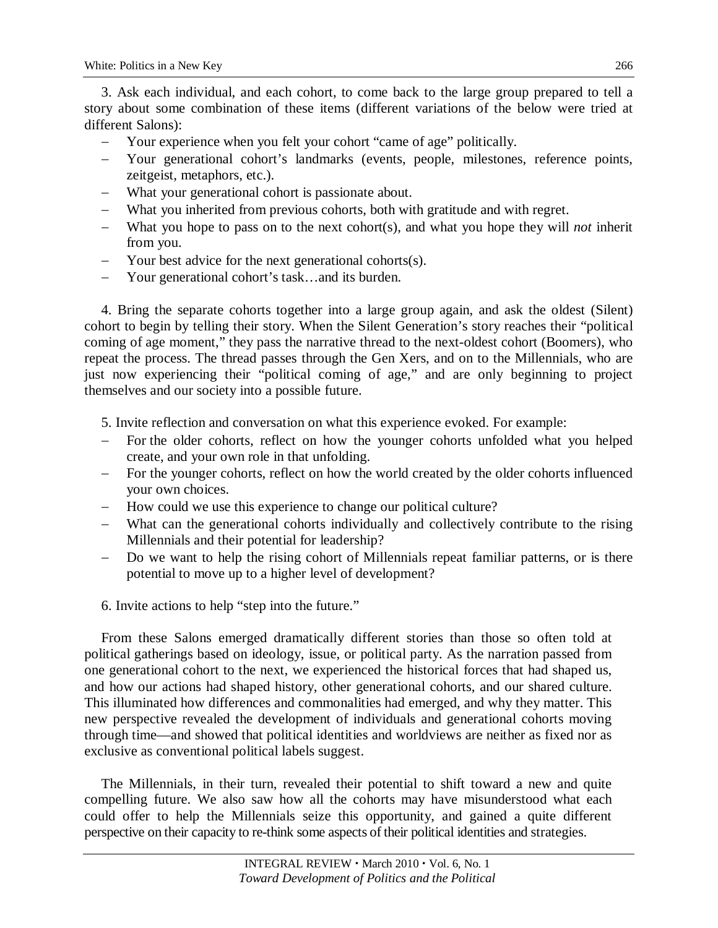3. Ask each individual, and each cohort, to come back to the large group prepared to tell a story about some combination of these items (different variations of the below were tried at different Salons):

- − Your experience when you felt your cohort "came of age" politically.
- − Your generational cohort's landmarks (events, people, milestones, reference points, zeitgeist, metaphors, etc.).
- What your generational cohort is passionate about.
- What you inherited from previous cohorts, both with gratitude and with regret.
- − What you hope to pass on to the next cohort(s), and what you hope they will *not* inherit from you.
- Your best advice for the next generational cohorts(s).
- Your generational cohort's task…and its burden.

4. Bring the separate cohorts together into a large group again, and ask the oldest (Silent) cohort to begin by telling their story. When the Silent Generation's story reaches their "political coming of age moment," they pass the narrative thread to the next-oldest cohort (Boomers), who repeat the process. The thread passes through the Gen Xers, and on to the Millennials, who are just now experiencing their "political coming of age," and are only beginning to project themselves and our society into a possible future.

5. Invite reflection and conversation on what this experience evoked. For example:

- For the older cohorts, reflect on how the younger cohorts unfolded what you helped create, and your own role in that unfolding.
- − For the younger cohorts, reflect on how the world created by the older cohorts influenced your own choices.
- How could we use this experience to change our political culture?
- What can the generational cohorts individually and collectively contribute to the rising Millennials and their potential for leadership?
- Do we want to help the rising cohort of Millennials repeat familiar patterns, or is there potential to move up to a higher level of development?

6. Invite actions to help "step into the future."

From these Salons emerged dramatically different stories than those so often told at political gatherings based on ideology, issue, or political party. As the narration passed from one generational cohort to the next, we experienced the historical forces that had shaped us, and how our actions had shaped history, other generational cohorts, and our shared culture. This illuminated how differences and commonalities had emerged, and why they matter. This new perspective revealed the development of individuals and generational cohorts moving through time—and showed that political identities and worldviews are neither as fixed nor as exclusive as conventional political labels suggest.

The Millennials, in their turn, revealed their potential to shift toward a new and quite compelling future. We also saw how all the cohorts may have misunderstood what each could offer to help the Millennials seize this opportunity, and gained a quite different perspective on their capacity to re-think some aspects of their political identities and strategies.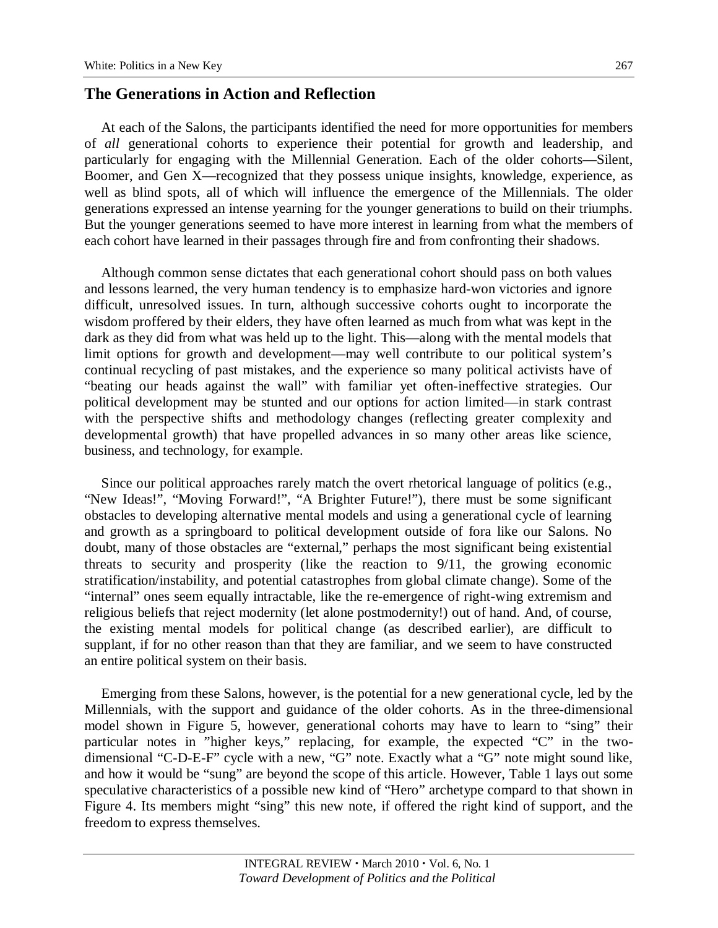#### **The Generations in Action and Reflection**

At each of the Salons, the participants identified the need for more opportunities for members of *all* generational cohorts to experience their potential for growth and leadership, and particularly for engaging with the Millennial Generation. Each of the older cohorts—Silent, Boomer, and Gen X—recognized that they possess unique insights, knowledge, experience, as well as blind spots, all of which will influence the emergence of the Millennials. The older generations expressed an intense yearning for the younger generations to build on their triumphs. But the younger generations seemed to have more interest in learning from what the members of each cohort have learned in their passages through fire and from confronting their shadows.

Although common sense dictates that each generational cohort should pass on both values and lessons learned, the very human tendency is to emphasize hard-won victories and ignore difficult, unresolved issues. In turn, although successive cohorts ought to incorporate the wisdom proffered by their elders, they have often learned as much from what was kept in the dark as they did from what was held up to the light. This—along with the mental models that limit options for growth and development—may well contribute to our political system's continual recycling of past mistakes, and the experience so many political activists have of "beating our heads against the wall" with familiar yet often-ineffective strategies. Our political development may be stunted and our options for action limited—in stark contrast with the perspective shifts and methodology changes (reflecting greater complexity and developmental growth) that have propelled advances in so many other areas like science, business, and technology, for example.

Since our political approaches rarely match the overt rhetorical language of politics (e.g., "New Ideas!", "Moving Forward!", "A Brighter Future!"), there must be some significant obstacles to developing alternative mental models and using a generational cycle of learning and growth as a springboard to political development outside of fora like our Salons. No doubt, many of those obstacles are "external," perhaps the most significant being existential threats to security and prosperity (like the reaction to 9/11, the growing economic stratification/instability, and potential catastrophes from global climate change). Some of the "internal" ones seem equally intractable, like the re-emergence of right-wing extremism and religious beliefs that reject modernity (let alone postmodernity!) out of hand. And, of course, the existing mental models for political change (as described earlier), are difficult to supplant, if for no other reason than that they are familiar, and we seem to have constructed an entire political system on their basis.

Emerging from these Salons, however, is the potential for a new generational cycle, led by the Millennials, with the support and guidance of the older cohorts. As in the three-dimensional model shown in Figure 5, however, generational cohorts may have to learn to "sing" their particular notes in "higher keys," replacing, for example, the expected "C" in the twodimensional "C-D-E-F" cycle with a new, "G" note. Exactly what a "G" note might sound like, and how it would be "sung" are beyond the scope of this article. However, Table 1 lays out some speculative characteristics of a possible new kind of "Hero" archetype compard to that shown in Figure 4. Its members might "sing" this new note, if offered the right kind of support, and the freedom to express themselves.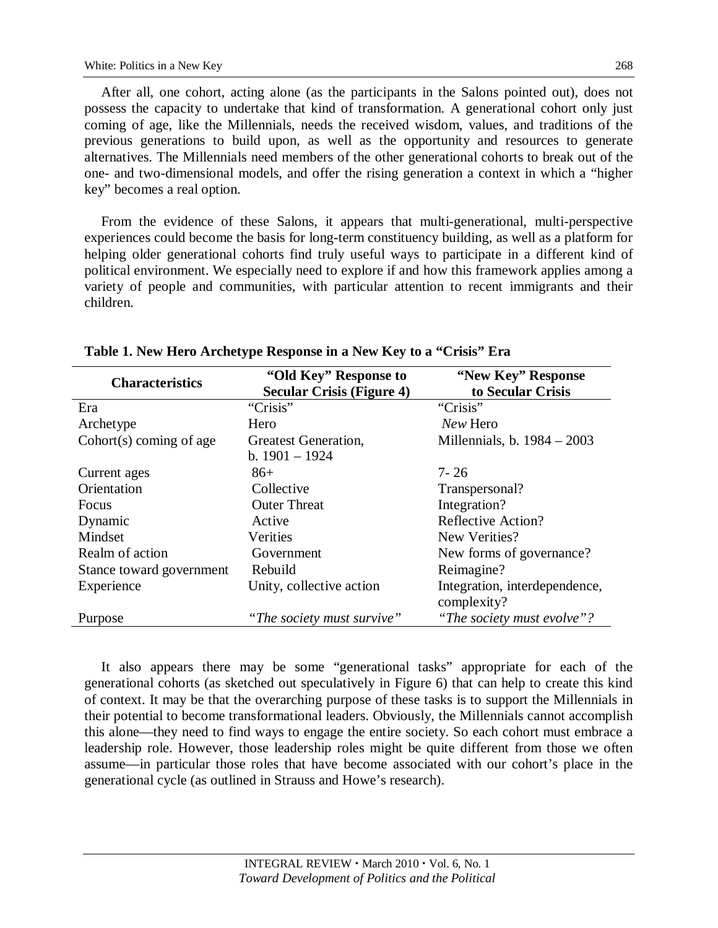After all, one cohort, acting alone (as the participants in the Salons pointed out), does not possess the capacity to undertake that kind of transformation. A generational cohort only just coming of age, like the Millennials, needs the received wisdom, values, and traditions of the previous generations to build upon, as well as the opportunity and resources to generate alternatives. The Millennials need members of the other generational cohorts to break out of the one- and two-dimensional models, and offer the rising generation a context in which a "higher key" becomes a real option.

From the evidence of these Salons, it appears that multi-generational, multi-perspective experiences could become the basis for long-term constituency building, as well as a platform for helping older generational cohorts find truly useful ways to participate in a different kind of political environment. We especially need to explore if and how this framework applies among a variety of people and communities, with particular attention to recent immigrants and their children.

| <b>Characteristics</b>    | "Old Key" Response to<br><b>Secular Crisis (Figure 4)</b> | "New Key" Response<br>to Secular Crisis |
|---------------------------|-----------------------------------------------------------|-----------------------------------------|
| Era                       | "Crisis"                                                  | "Crisis"                                |
| Archetype                 | Hero                                                      | New Hero                                |
| $Cohort(s)$ coming of age | Greatest Generation,                                      | Millennials, b. 1984 – 2003             |
|                           | b. $1901 - 1924$                                          |                                         |
| Current ages              | $86+$                                                     | 7-26                                    |
| Orientation               | Collective                                                | Transpersonal?                          |
| <b>Focus</b>              | <b>Outer Threat</b>                                       | Integration?                            |
| Dynamic                   | Active                                                    | Reflective Action?                      |
| Mindset                   | Verities                                                  | New Verities?                           |
| Realm of action           | Government                                                | New forms of governance?                |
| Stance toward government  | Rebuild                                                   | Reimagine?                              |
| Experience                | Unity, collective action                                  | Integration, interdependence,           |
|                           |                                                           | complexity?                             |
| Purpose                   | "The society must survive"                                | "The society must evolve"?              |

**Table 1. New Hero Archetype Response in a New Key to a "Crisis" Era** 

It also appears there may be some "generational tasks" appropriate for each of the generational cohorts (as sketched out speculatively in Figure 6) that can help to create this kind of context. It may be that the overarching purpose of these tasks is to support the Millennials in their potential to become transformational leaders. Obviously, the Millennials cannot accomplish this alone—they need to find ways to engage the entire society. So each cohort must embrace a leadership role. However, those leadership roles might be quite different from those we often assume—in particular those roles that have become associated with our cohort's place in the generational cycle (as outlined in Strauss and Howe's research).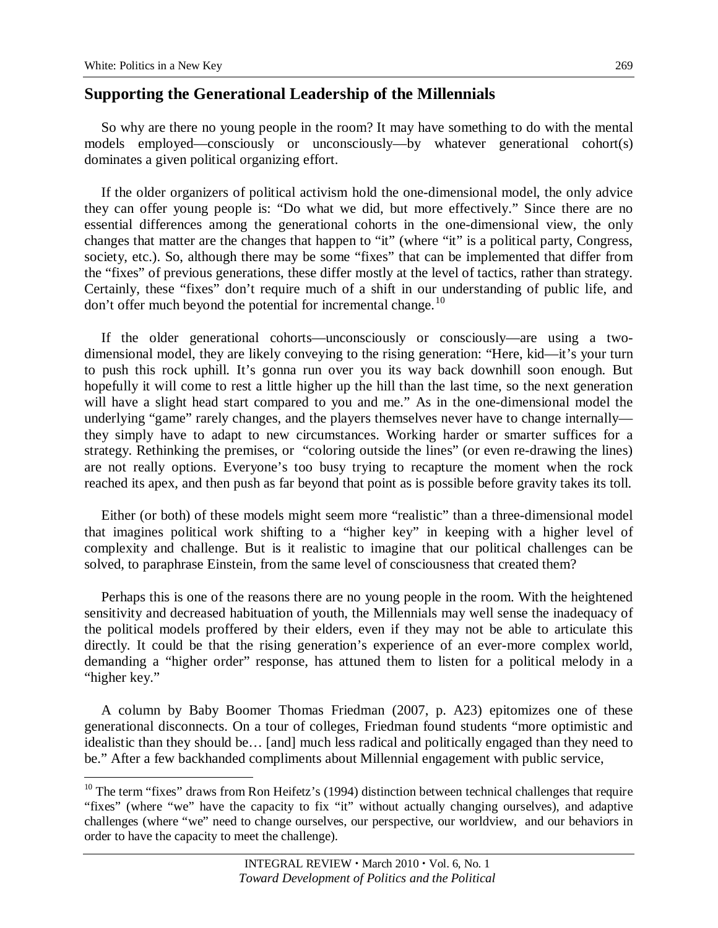## **Supporting the Generational Leadership of the Millennials**

So why are there no young people in the room? It may have something to do with the mental models employed—consciously or unconsciously—by whatever generational cohort(s) dominates a given political organizing effort.

If the older organizers of political activism hold the one-dimensional model, the only advice they can offer young people is: "Do what we did, but more effectively." Since there are no essential differences among the generational cohorts in the one-dimensional view, the only changes that matter are the changes that happen to "it" (where "it" is a political party, Congress, society, etc.). So, although there may be some "fixes" that can be implemented that differ from the "fixes" of previous generations, these differ mostly at the level of tactics, rather than strategy. Certainly, these "fixes" don't require much of a shift in our understanding of public life, and don't offer much beyond the potential for incremental change. $^{10}$  $^{10}$  $^{10}$ 

If the older generational cohorts—unconsciously or consciously—are using a twodimensional model, they are likely conveying to the rising generation: "Here, kid—it's your turn to push this rock uphill. It's gonna run over you its way back downhill soon enough. But hopefully it will come to rest a little higher up the hill than the last time, so the next generation will have a slight head start compared to you and me." As in the one-dimensional model the underlying "game" rarely changes, and the players themselves never have to change internally they simply have to adapt to new circumstances. Working harder or smarter suffices for a strategy. Rethinking the premises, or "coloring outside the lines" (or even re-drawing the lines) are not really options. Everyone's too busy trying to recapture the moment when the rock reached its apex, and then push as far beyond that point as is possible before gravity takes its toll.

Either (or both) of these models might seem more "realistic" than a three-dimensional model that imagines political work shifting to a "higher key" in keeping with a higher level of complexity and challenge. But is it realistic to imagine that our political challenges can be solved, to paraphrase Einstein, from the same level of consciousness that created them?

Perhaps this is one of the reasons there are no young people in the room. With the heightened sensitivity and decreased habituation of youth, the Millennials may well sense the inadequacy of the political models proffered by their elders, even if they may not be able to articulate this directly. It could be that the rising generation's experience of an ever-more complex world, demanding a "higher order" response, has attuned them to listen for a political melody in a "higher key."

A column by Baby Boomer Thomas Friedman (2007, p. A23) epitomizes one of these generational disconnects. On a tour of colleges, Friedman found students "more optimistic and idealistic than they should be… [and] much less radical and politically engaged than they need to be." After a few backhanded compliments about Millennial engagement with public service,

<span id="page-17-0"></span> $10$  The term "fixes" draws from Ron Heifetz's (1994) distinction between technical challenges that require "fixes" (where "we" have the capacity to fix "it" without actually changing ourselves), and adaptive challenges (where "we" need to change ourselves, our perspective, our worldview, and our behaviors in order to have the capacity to meet the challenge).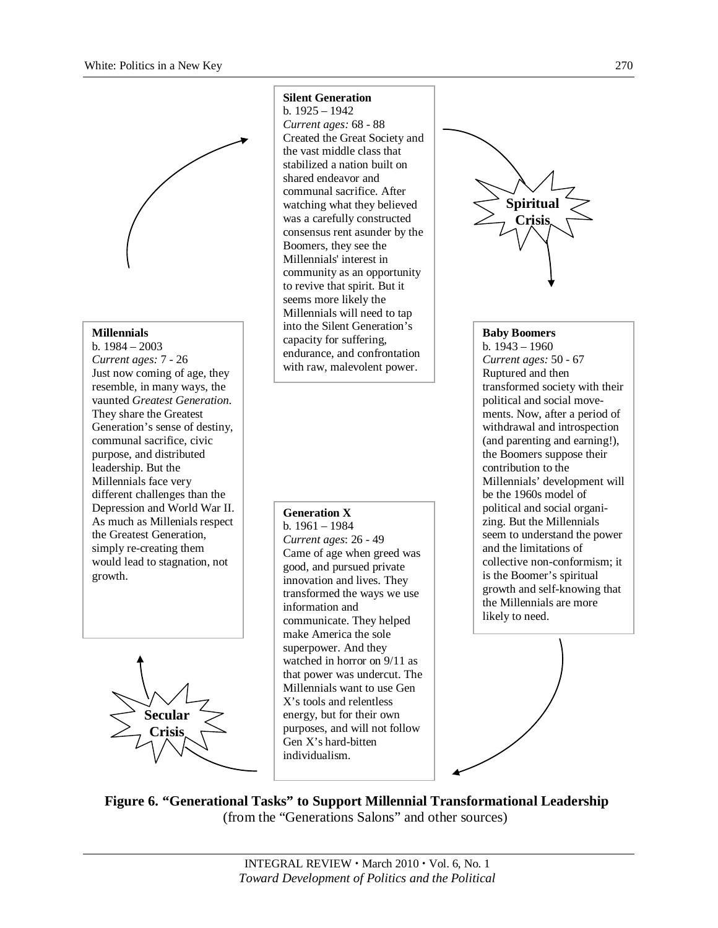

#### **Millennials**

b. 1984 – 2003 *Current ages:* 7 - 26 Just now coming of age, they resemble, in many ways, the vaunted *Greatest Generation*. They share the Greatest Generation's sense of destiny, communal sacrifice, civic purpose, and distributed leadership. But the Millennials face very different challenges than the Depression and World War II. As much as Millenials respect the Greatest Generation, simply re-creating them would lead to stagnation, not growth.

# **Secular Crisis**

#### **Silent Generation**

b. 1925 – 1942 *Current ages:* 68 - 88 Created the Great Society and the vast middle class that stabilized a nation built on shared endeavor and communal sacrifice. After watching what they believed was a carefully constructed consensus rent asunder by the Boomers, they see the Millennials' interest in community as an opportunity to revive that spirit. But it seems more likely the Millennials will need to tap into the Silent Generation's capacity for suffering, endurance, and confrontation with raw, malevolent power.

**Generation X** b. 1961 – 1984 *Current ages*: 26 - 49 Came of age when greed was good, and pursued private innovation and lives. They transformed the ways we use information and communicate. They helped make America the sole superpower. And they watched in horror on 9/11 as that power was undercut. The Millennials want to use Gen X's tools and relentless energy, but for their own purposes, and will not follow Gen X's hard-bitten individualism.



#### **Baby Boomers**

b. 1943 – 1960 *Current ages:* 50 - 67 Ruptured and then transformed society with their political and social movements. Now, after a period of withdrawal and introspection (and parenting and earning!), the Boomers suppose their contribution to the Millennials' development will be the 1960s model of political and social organizing. But the Millennials seem to understand the power and the limitations of collective non-conformism; it is the Boomer's spiritual growth and self-knowing that the Millennials are more likely to need.



**Figure 6. "Generational Tasks" to Support Millennial Transformational Leadership** (from the "Generations Salons" and other sources)

> INTEGRAL REVIEW · March 2010 · Vol. 6, No. 1 *Toward Development of Politics and the Political*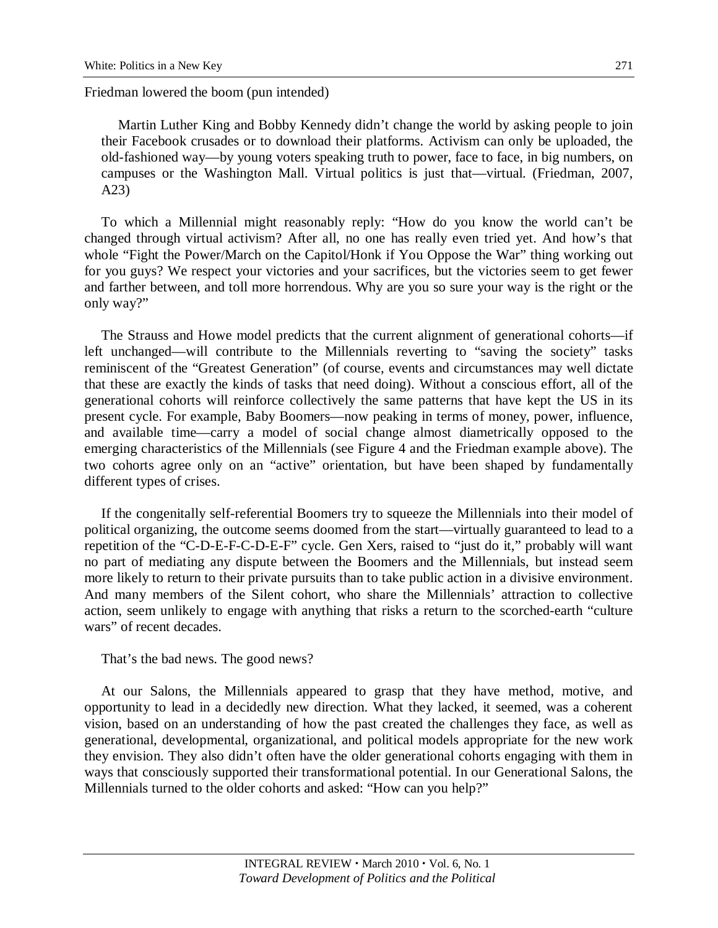Friedman lowered the boom (pun intended)

Martin Luther King and Bobby Kennedy didn't change the world by asking people to join their Facebook crusades or to download their platforms. Activism can only be uploaded, the old-fashioned way—by young voters speaking truth to power, face to face, in big numbers, on campuses or the Washington Mall. Virtual politics is just that—virtual. (Friedman, 2007, A23)

To which a Millennial might reasonably reply: "How do you know the world can't be changed through virtual activism? After all, no one has really even tried yet. And how's that whole "Fight the Power/March on the Capitol/Honk if You Oppose the War" thing working out for you guys? We respect your victories and your sacrifices, but the victories seem to get fewer and farther between, and toll more horrendous. Why are you so sure your way is the right or the only way?"

The Strauss and Howe model predicts that the current alignment of generational cohorts—if left unchanged—will contribute to the Millennials reverting to "saving the society" tasks reminiscent of the "Greatest Generation" (of course, events and circumstances may well dictate that these are exactly the kinds of tasks that need doing). Without a conscious effort, all of the generational cohorts will reinforce collectively the same patterns that have kept the US in its present cycle. For example, Baby Boomers—now peaking in terms of money, power, influence, and available time—carry a model of social change almost diametrically opposed to the emerging characteristics of the Millennials (see Figure 4 and the Friedman example above). The two cohorts agree only on an "active" orientation, but have been shaped by fundamentally different types of crises.

If the congenitally self-referential Boomers try to squeeze the Millennials into their model of political organizing, the outcome seems doomed from the start—virtually guaranteed to lead to a repetition of the "C-D-E-F-C-D-E-F" cycle. Gen Xers, raised to "just do it," probably will want no part of mediating any dispute between the Boomers and the Millennials, but instead seem more likely to return to their private pursuits than to take public action in a divisive environment. And many members of the Silent cohort, who share the Millennials' attraction to collective action, seem unlikely to engage with anything that risks a return to the scorched-earth "culture wars" of recent decades.

That's the bad news. The good news?

At our Salons, the Millennials appeared to grasp that they have method, motive, and opportunity to lead in a decidedly new direction. What they lacked, it seemed, was a coherent vision, based on an understanding of how the past created the challenges they face, as well as generational, developmental, organizational, and political models appropriate for the new work they envision. They also didn't often have the older generational cohorts engaging with them in ways that consciously supported their transformational potential. In our Generational Salons, the Millennials turned to the older cohorts and asked: "How can you help?"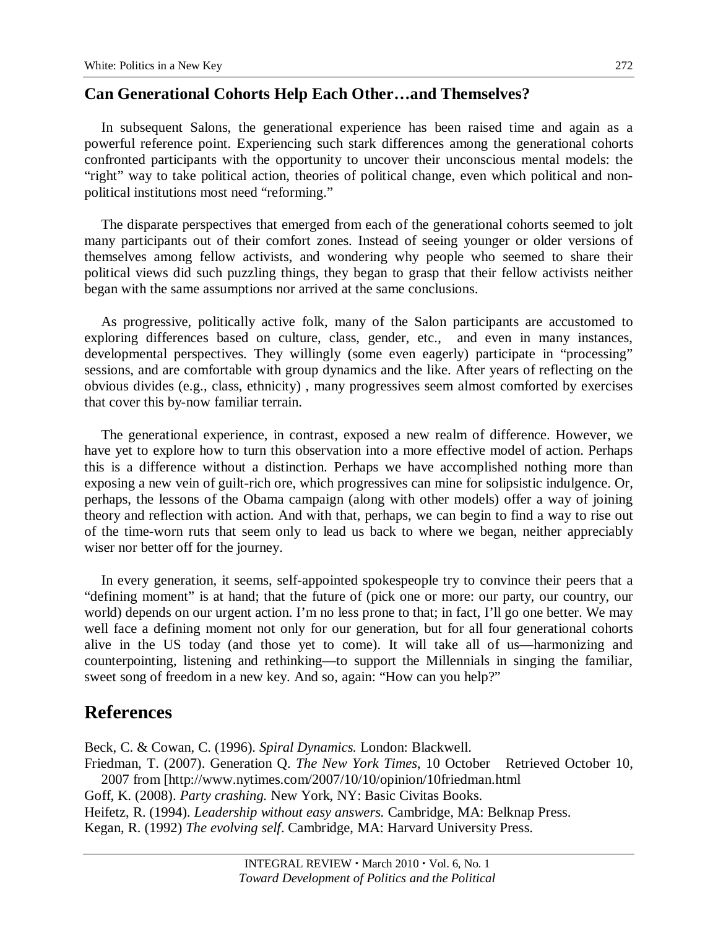## **Can Generational Cohorts Help Each Other…and Themselves?**

In subsequent Salons, the generational experience has been raised time and again as a powerful reference point. Experiencing such stark differences among the generational cohorts confronted participants with the opportunity to uncover their unconscious mental models: the "right" way to take political action, theories of political change, even which political and nonpolitical institutions most need "reforming."

The disparate perspectives that emerged from each of the generational cohorts seemed to jolt many participants out of their comfort zones. Instead of seeing younger or older versions of themselves among fellow activists, and wondering why people who seemed to share their political views did such puzzling things, they began to grasp that their fellow activists neither began with the same assumptions nor arrived at the same conclusions.

As progressive, politically active folk, many of the Salon participants are accustomed to exploring differences based on culture, class, gender, etc., and even in many instances, developmental perspectives. They willingly (some even eagerly) participate in "processing" sessions, and are comfortable with group dynamics and the like. After years of reflecting on the obvious divides (e.g., class, ethnicity) , many progressives seem almost comforted by exercises that cover this by-now familiar terrain.

The generational experience, in contrast, exposed a new realm of difference. However, we have yet to explore how to turn this observation into a more effective model of action. Perhaps this is a difference without a distinction. Perhaps we have accomplished nothing more than exposing a new vein of guilt-rich ore, which progressives can mine for solipsistic indulgence. Or, perhaps, the lessons of the Obama campaign (along with other models) offer a way of joining theory and reflection with action. And with that, perhaps, we can begin to find a way to rise out of the time-worn ruts that seem only to lead us back to where we began, neither appreciably wiser nor better off for the journey.

In every generation, it seems, self-appointed spokespeople try to convince their peers that a "defining moment" is at hand; that the future of (pick one or more: our party, our country, our world) depends on our urgent action. I'm no less prone to that; in fact, I'll go one better. We may well face a defining moment not only for our generation, but for all four generational cohorts alive in the US today (and those yet to come). It will take all of us—harmonizing and counterpointing, listening and rethinking—to support the Millennials in singing the familiar, sweet song of freedom in a new key. And so, again: "How can you help?"

## **References**

Beck, C. & Cowan, C. (1996). *Spiral Dynamics.* London: Blackwell. Friedman, T. (2007). Generation Q. *The New York Times*, 10 October Retrieved October 10, 2007 from [http://www.nytimes.com/2007/10/10/opinion/10friedman.html Goff, K. (2008). *Party crashing.* New York, NY: Basic Civitas Books. Heifetz, R. (1994). *Leadership without easy answers.* Cambridge, MA: Belknap Press. Kegan, R. (1992) *The evolving self*. Cambridge, MA: Harvard University Press.